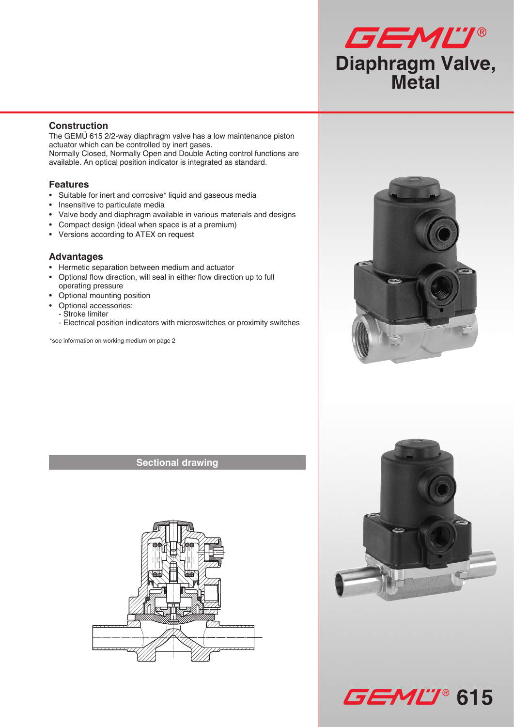

### **Construction**

The GEMÜ 615 2/2-way diaphragm valve has a low maintenance piston actuator which can be controlled by inert gases. Normally Closed, Normally Open and Double Acting control functions are available. An optical position indicator is integrated as standard.

#### **Features**

- • Suitable for inert and corrosive\* liquid and gaseous media
- • Insensitive to particulate media
- • Valve body and diaphragm available in various materials and designs
- Compact design (ideal when space is at a premium)
- Versions according to ATEX on request

#### **Advantages**

- • Hermetic separation between medium and actuator
- • Optional flow direction, will seal in either flow direction up to full operating pressure
- Optional mounting position
- Optional accessories:
- Stroke limiter
- Electrical position indicators with microswitches or proximity switches

\*see information on working medium on page 2

### **Sectional drawing**







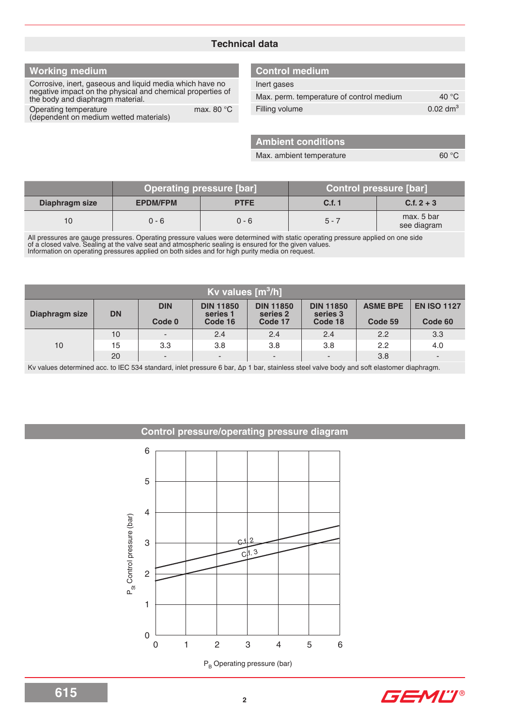### **Technical data**

## **Working medium**

Corrosive, inert, gaseous and liquid media which have no negative impact on the physical and chemical properties of the body and diaphragm material.

Operating temperature max. 80 °C (dependent on medium wetted materials)

### **Control medium**

| Inert gases                              |                     |
|------------------------------------------|---------------------|
| Max. perm. temperature of control medium | 40 $\degree$ C      |
| Filling volume                           | $0.02 \text{ dm}^3$ |

**Ambient conditions**

Max. ambient temperature 60 °C

|                |                 | Operating pressure [bar] | <b>Control pressure [bar]</b> |                           |
|----------------|-----------------|--------------------------|-------------------------------|---------------------------|
| Diaphragm size | <b>EPDM/FPM</b> | <b>PTFE</b>              | C.f. 1                        | $C.f. 2 + 3$              |
| 10             | $0 - 6$         | $0 - 6$                  | $5 - 7$                       | max, 5 bar<br>see diagram |

All pressures are gauge pressures. Operating pressure values were determined with static operating pressure applied on one side of a closed valve. Sealing at the valve seat and atmospheric sealing is ensured for the given values. Information on operating pressures applied on both sides and for high purity media on request.

| Kv values $[m^3/h]$ |           |                          |                              |                              |                              |                 |                          |  |
|---------------------|-----------|--------------------------|------------------------------|------------------------------|------------------------------|-----------------|--------------------------|--|
| Diaphragm size      | <b>DN</b> | <b>DIN</b>               | <b>DIN 11850</b><br>series 1 | <b>DIN 11850</b><br>series 2 | <b>DIN 11850</b><br>series 3 | <b>ASME BPE</b> | <b>EN ISO 1127</b>       |  |
|                     |           | Code 0                   | Code 16                      | Code 17                      | Code 18                      | Code 59         | Code 60                  |  |
|                     | 10        | -                        | 2.4                          | 2.4                          | 2.4                          | 2.2             | 3.3                      |  |
| 10                  | 15        | 3.3                      | 3.8                          | 3.8                          | 3.8                          | 2.2             | 4.0                      |  |
|                     | 20        | $\overline{\phantom{0}}$ | -                            | $\overline{\phantom{a}}$     |                              | 3.8             | $\overline{\phantom{a}}$ |  |

Kv values determined acc. to IEC 534 standard, inlet pressure 6 bar, ∆p 1 bar, stainless steel valve body and soft elastomer diaphragm.

#### **Control pressure/operating pressure diagram**



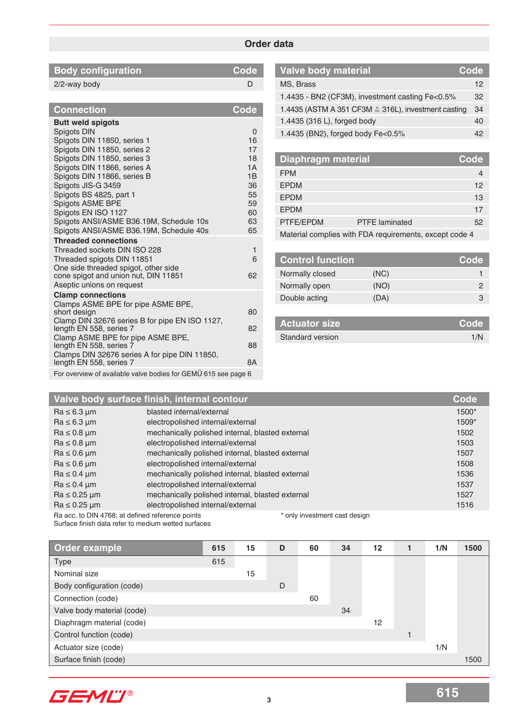### **Order data**

| <b>Body configuration</b> | l Code' |
|---------------------------|---------|
| 2/2-way body              |         |
|                           |         |

| <b>Connection</b>                                                                                                                                                                                                                                                                                                                                                                                                                                   | <b>Code</b>                                                                     |
|-----------------------------------------------------------------------------------------------------------------------------------------------------------------------------------------------------------------------------------------------------------------------------------------------------------------------------------------------------------------------------------------------------------------------------------------------------|---------------------------------------------------------------------------------|
| <b>Butt weld spigots</b><br>Spigots DIN<br>Spigots DIN 11850, series 1<br>Spigots DIN 11850, series 2<br>Spigots DIN 11850, series 3<br>Spigots DIN 11866, series A<br>Spigots DIN 11866, series B<br>Spigots JIS-G 3459<br>Spigots BS 4825, part 1<br>Spigots ASME BPE<br>Spigots EN ISO 1127<br>Spigots ANSI/ASME B36.19M, Schedule 10s<br>Spigots ANSI/ASME B36.19M, Schedule 40s<br><b>Threaded connections</b><br>Threaded sockets DIN ISO 228 | $\Omega$<br>16<br>17<br>18<br>1A<br>1B<br>36<br>55<br>59<br>60<br>63<br>65<br>1 |
| Threaded spigots DIN 11851<br>One side threaded spigot, other side<br>cone spigot and union nut, DIN 11851<br>Aseptic unions on request                                                                                                                                                                                                                                                                                                             | 6<br>62                                                                         |
| <b>Clamp connections</b><br>Clamps ASME BPE for pipe ASME BPE,<br>short design                                                                                                                                                                                                                                                                                                                                                                      | 80                                                                              |
| Clamp DIN 32676 series B for pipe EN ISO 1127,<br>length EN 558, series 7                                                                                                                                                                                                                                                                                                                                                                           | 82                                                                              |
| Clamp ASME BPE for pipe ASME BPE,<br>length EN 558, series 7                                                                                                                                                                                                                                                                                                                                                                                        | 88                                                                              |
| Clamps DIN 32676 series A for pipe DIN 11850,<br>length EN 558, series 7                                                                                                                                                                                                                                                                                                                                                                            | 8A                                                                              |

| <b>Valve body material</b>                          | Code |
|-----------------------------------------------------|------|
| MS, Brass                                           | 12   |
| 1.4435 - BN2 (CF3M), investment casting Fe<0.5%     | 32   |
| 1.4435 (ASTM A 351 CF3M ≙ 316L), investment casting | 34   |
| 1.4435 (316 L), forged body                         | 40   |
| 1.4435 (BN2), forged body Fe<0.5%                   | 42   |

| Diaphragm material |                                                        | Code |
|--------------------|--------------------------------------------------------|------|
| <b>FPM</b>         |                                                        |      |
| <b>EPDM</b>        |                                                        | 12   |
| <b>EPDM</b>        |                                                        | 13   |
| <b>EPDM</b>        |                                                        | 17   |
| PTFE/EPDM          | <b>PTFE</b> laminated                                  | 52   |
|                    | Material complies with FDA requirements, except code 4 |      |

| <b>Control function</b> |      | Code |
|-------------------------|------|------|
| Normally closed         | (NC) |      |
| Normally open           | (NO) |      |
| Double acting           | (DA) | З    |

| <b>Actuator size</b>    | L Code' |
|-------------------------|---------|
| <b>Standard version</b> | 1/N     |

For overview of available valve bodies for GEMÜ 615 see page 6

|                      | Valve body surface finish, internal contour      | <b>Code</b> |
|----------------------|--------------------------------------------------|-------------|
| $Ra \leq 6.3 \mu m$  | blasted internal/external                        | 1500*       |
| $Ra \leq 6.3 \mu m$  | electropolished internal/external                | 1509*       |
| $Ra \leq 0.8 \mu m$  | mechanically polished internal, blasted external | 1502        |
| $Ra \leq 0.8 \mu m$  | electropolished internal/external                | 1503        |
| $Ra \leq 0.6 \mu m$  | mechanically polished internal, blasted external | 1507        |
| $Ra \leq 0.6 \mu m$  | electropolished internal/external                | 1508        |
| $Ra \leq 0.4 \mu m$  | mechanically polished internal, blasted external | 1536        |
| $Ra \leq 0.4 \mu m$  | electropolished internal/external                | 1537        |
| $Ra \leq 0.25 \mu m$ | mechanically polished internal, blasted external | 1527        |
| $Ra \leq 0.25$ um    | electropolished internal/external                | 1516        |
|                      |                                                  |             |

Ra acc. to DIN 4768; at defined reference points \* \* only investment cast design Surface finish data refer to medium wetted surfaces

| Order example              | 615 | 15 | D | 60 | 34 | $12 \,$ | 1/N | 1500 |
|----------------------------|-----|----|---|----|----|---------|-----|------|
| <b>Type</b>                | 615 |    |   |    |    |         |     |      |
| Nominal size               |     | 15 |   |    |    |         |     |      |
| Body configuration (code)  |     |    | D |    |    |         |     |      |
| Connection (code)          |     |    |   | 60 |    |         |     |      |
| Valve body material (code) |     |    |   |    | 34 |         |     |      |
| Diaphragm material (code)  |     |    |   |    |    | 12      |     |      |
| Control function (code)    |     |    |   |    |    |         |     |      |
| Actuator size (code)       |     |    |   |    |    |         | 1/N |      |
| Surface finish (code)      |     |    |   |    |    |         |     | 1500 |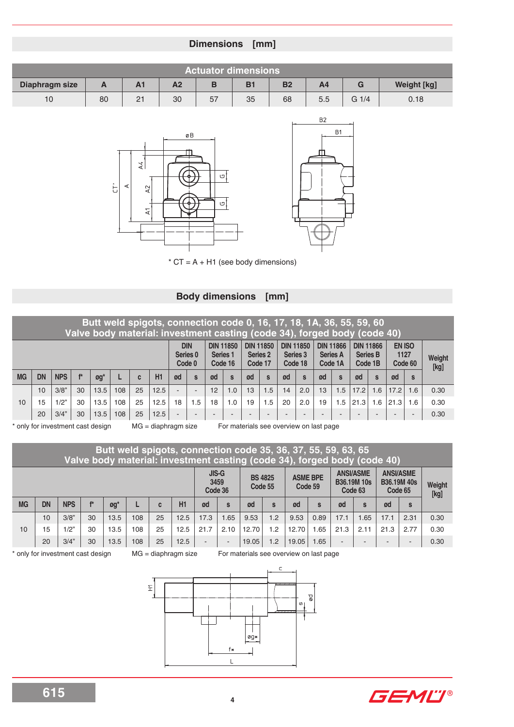## **Dimensions [mm]**

| <b>Actuator dimensions</b>                                                                                       |    |                |    |    |    |    |     |                    |      |
|------------------------------------------------------------------------------------------------------------------|----|----------------|----|----|----|----|-----|--------------------|------|
| B <sub>1</sub><br>B<br>B <sub>2</sub><br>Diaphragm size<br>A <sub>2</sub><br>A4<br>G<br>$\sqrt{ }$<br>$\sqrt{ }$ |    |                |    |    |    |    |     | <b>Weight [kg]</b> |      |
| 10                                                                                                               | 80 | 2 <sub>1</sub> | 30 | 57 | 35 | 68 | 5.5 | $G_1/4$            | 0.18 |





 $*$  CT = A + H1 (see body dimensions)

## **Body dimensions [mm]**

|           | Butt weld spigots, connection code 0, 16, 17, 18, 1A, 36, 55, 59, 60<br>Valve body material: investment casting (code 34), forged body (code 40) |            |    |                              |     |    |      |                          |                                  |    |                                         |    |                                         |                          |                                         |                          |                                                |      |                                                |      |                           |                |  |  |
|-----------|--------------------------------------------------------------------------------------------------------------------------------------------------|------------|----|------------------------------|-----|----|------|--------------------------|----------------------------------|----|-----------------------------------------|----|-----------------------------------------|--------------------------|-----------------------------------------|--------------------------|------------------------------------------------|------|------------------------------------------------|------|---------------------------|----------------|--|--|
|           |                                                                                                                                                  |            |    |                              |     |    |      |                          | <b>DIN</b><br>Series 0<br>Code 0 |    | <b>DIN 11850</b><br>Series 1<br>Code 16 |    | <b>DIN 11850</b><br>Series 2<br>Code 17 |                          | <b>DIN 11850</b><br>Series 3<br>Code 18 |                          | <b>DIN 11866</b><br><b>Series A</b><br>Code 1A |      | <b>DIN 11866</b><br><b>Series B</b><br>Code 1B |      | EN ISO<br>1127<br>Code 60 | Weight<br>[kg] |  |  |
| <b>MG</b> | <b>DN</b>                                                                                                                                        | <b>NPS</b> |    | $\mathfrak{g}\mathfrak{g}^*$ |     | C  | H1   | ød                       | S                                | ød | $\mathbf{s}$                            | ød | $\mathbf{s}$                            | ød                       | $\mathbf{s}$                            | ød                       | S                                              | ød   | $\mathbf{s}$                                   | ød   | S                         |                |  |  |
|           | 10                                                                                                                                               | 3/8"       | 30 | 13.5                         | 108 | 25 | 12.5 | $\overline{\phantom{a}}$ |                                  | 12 | 1.0                                     | 13 | 1.5                                     | 14                       | 2.0                                     | 13                       | 1.5                                            | 17.2 | 1.6                                            | 17.2 | 1.6                       | 0.30           |  |  |
| 10        | 15                                                                                                                                               | 1/2"       | 30 | 13.5                         | 108 | 25 | 12.5 | 18                       | 1.5                              | 18 | 1.0                                     | 19 | 1.5                                     | 20                       | 2.0                                     | 19                       | 1.5                                            | 21.3 | 1.6                                            | 21.3 | 1.6                       | 0.30           |  |  |
|           | 20                                                                                                                                               | 3/4"       | 30 | 13.5                         | 108 | 25 | 12.5 | -                        |                                  |    |                                         |    |                                         | $\overline{\phantom{0}}$ | -                                       | $\overline{\phantom{0}}$ |                                                |      |                                                |      | $\sim$                    | 0.30           |  |  |

only for investment cast design MG = diaphragm size For materials see overview on last page

|           | Butt weld spigots, connection code 35, 36, 37, 55, 59, 63, 65<br>Valve body material: investment casting (code 34), forged body (code 40) |            |       |                              |     |    |      |        |                                 |                           |     |                            |              |                                                   |                          |                                                   |                          |                |  |
|-----------|-------------------------------------------------------------------------------------------------------------------------------------------|------------|-------|------------------------------|-----|----|------|--------|---------------------------------|---------------------------|-----|----------------------------|--------------|---------------------------------------------------|--------------------------|---------------------------------------------------|--------------------------|----------------|--|
|           |                                                                                                                                           |            |       |                              |     |    |      |        | <b>JIS-G</b><br>3459<br>Code 36 | <b>BS 4825</b><br>Code 55 |     | <b>ASME BPE</b><br>Code 59 |              | <b>ANSI/ASME</b><br><b>B36.19M 10s</b><br>Code 63 |                          | <b>ANSI/ASME</b><br><b>B36.19M 40s</b><br>Code 65 |                          | Weight<br>[kg] |  |
| <b>MG</b> | <b>DN</b>                                                                                                                                 | <b>NPS</b> | $f$ * | $\mathfrak{g}\mathfrak{g}^*$ |     | C  | H1   | ød     | S                               | ød                        | S   | ød                         | $\mathbf{s}$ | ød                                                | $\mathbf{s}$             | ød                                                | S                        |                |  |
|           | 10                                                                                                                                        | 3/8"       | 30    | 13.5                         | 108 | 25 | 12.5 | 17.3   | .65                             | 9.53                      | 1.2 | 9.53                       | 0.89         | 17.1                                              | .65                      | 17.1                                              | 2.31                     | 0.30           |  |
| 10        | 15                                                                                                                                        | 1/2"       | 30    | 13.5                         | 108 | 25 | 12.5 | 21.7   | 2.10                            | 12.70                     | 1.2 | 12.70                      | .65          | 21.3                                              | 2.11                     | 21.3                                              | 2.77                     | 0.30           |  |
|           | 20                                                                                                                                        | 3/4"       | 30    | 13.5                         | 108 | 25 | 12.5 | $\sim$ | $\overline{\phantom{a}}$        | 19.05                     | 1.2 | 19.05                      | .65          |                                                   | $\overline{\phantom{a}}$ |                                                   | $\overline{\phantom{0}}$ | 0.30           |  |

\* only for investment cast design MG = diaphragm size For materials see overview on last page



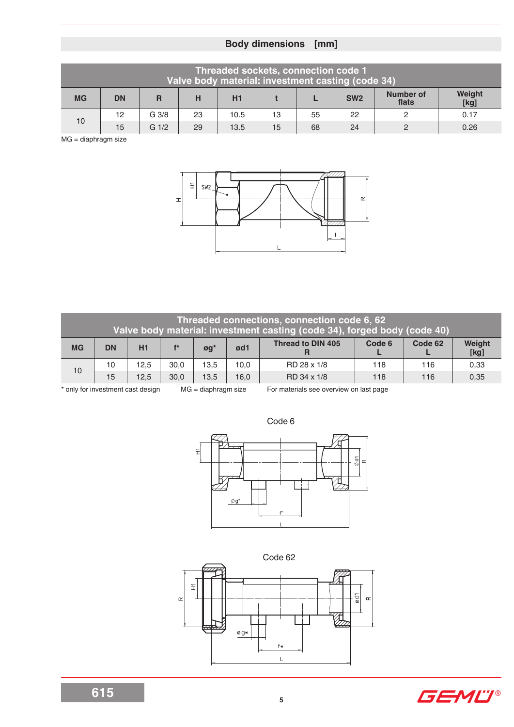# **Body dimensions [mm]**

| Threaded sockets, connection code 1<br>Valve body material: investment casting (code 34) |           |                  |    |      |    |    |                 |                    |                |  |  |  |  |  |
|------------------------------------------------------------------------------------------|-----------|------------------|----|------|----|----|-----------------|--------------------|----------------|--|--|--|--|--|
| <b>MG</b>                                                                                | <b>DN</b> | R                | н  | H1   |    |    | SW <sub>2</sub> | Number of<br>flats | Weight<br>[kg] |  |  |  |  |  |
| 10                                                                                       | 12        | G <sub>3/8</sub> | 23 | 10.5 | 13 | 55 | 22              |                    | 0.17           |  |  |  |  |  |
|                                                                                          | 15        | $G \frac{1}{2}$  | 29 | 13.5 | 15 | 68 | 24              |                    | 0.26           |  |  |  |  |  |

MG = diaphragm size



|           | Threaded connections, connection code 6, 62<br>Valve body material: investment casting (code 34), forged body (code 40) |      |       |                     |      |                          |        |         |                |  |  |  |  |  |  |
|-----------|-------------------------------------------------------------------------------------------------------------------------|------|-------|---------------------|------|--------------------------|--------|---------|----------------|--|--|--|--|--|--|
| <b>MG</b> | <b>DN</b>                                                                                                               | H1   | $f^*$ | $\boldsymbol{g}$ g* | ød1  | <b>Thread to DIN 405</b> | Code 6 | Code 62 | Weight<br>[kg] |  |  |  |  |  |  |
| 10        | 10                                                                                                                      | 12,5 | 30.0  | 13,5                | 10,0 | RD 28 x 1/8              | 118    | 116     | 0.33           |  |  |  |  |  |  |
|           | 15                                                                                                                      | 12.5 | 30.0  | 13.5                | 16,0 | RD 34 x 1/8              | 118    | 116     | 0,35           |  |  |  |  |  |  |

\* only for investment cast design MG = diaphragm size For materials see overview on last page